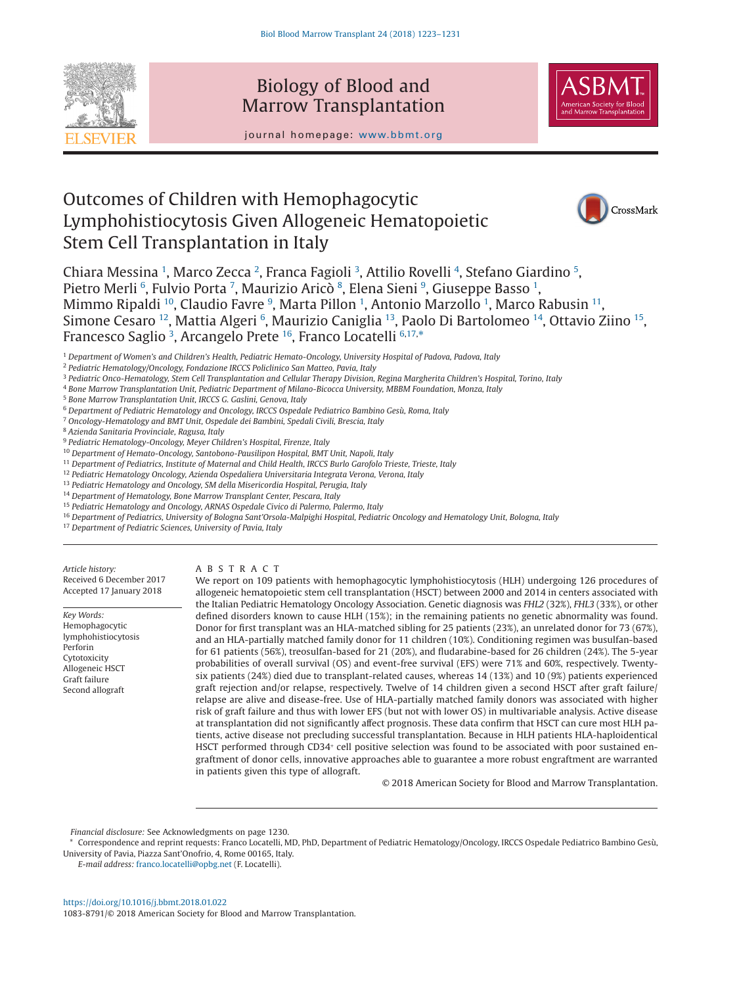

## Biology of Blood and Marrow Transplantation



journal homepage: www.bbmt.org

# Outcomes of Children with Hemophagocytic Lymphohistiocytosis Given Allogeneic Hematopoietic Stem Cell Transplantation in Italy



Chiara Messina <sup>[1](#page-0-0)</sup>, Marco Zecca <sup>[2](#page-0-1)</sup>, Franca Fagioli <sup>[3](#page-0-2)</sup>, Attilio Rovelli <sup>[4](#page-0-3)</sup>, Stefano Giardino <sup>[5](#page-0-4)</sup>, Pietro Merli <sup>[6](#page-0-5)</sup>, Fulvio Porta <sup>[7](#page-0-6)</sup>, Maurizio Aricò <sup>[8](#page-0-7)</sup>, Elena Sieni <sup>[9](#page-0-8)</sup>, Giuseppe Basso <sup>[1](#page-0-0)</sup>, Mimmo Ripaldi <sup>10</sup>, Claudio Favre <sup>[9](#page-0-8)</sup>, Marta Pillon <sup>[1](#page-0-0)</sup>, Antonio Marzollo <sup>1</sup>, Marco Rabusin <sup>11</sup>, Simone Cesaro <sup>12</sup>, Mattia Algeri <sup>[6](#page-0-5)</sup>, Maurizio Caniglia <sup>13</sup>, Paolo Di Bartolomeo <sup>14</sup>, Ottavio Ziino <sup>15</sup>, Francesco Saglio <sup>[3](#page-0-2)</sup>, Arcangelo Prete <sup>16</sup>, Franco Locatelli <sup>[6,](#page-0-5)[17,](#page-0-16)</sup>[\\*](#page-0-17)

<span id="page-0-0"></span><sup>1</sup> *Department of Women's and Children's Health, Pediatric Hemato-Oncology, University Hospital of Padova, Padova, Italy*

<span id="page-0-1"></span><sup>2</sup> *Pediatric Hematology/Oncology, Fondazione IRCCS Policlinico San Matteo, Pavia, Italy*

<span id="page-0-2"></span><sup>3</sup> *Pediatric Onco-Hematology, Stem Cell Transplantation and Cellular Therapy Division, Regina Margherita Children's Hospital, Torino, Italy*

<span id="page-0-3"></span><sup>4</sup> *Bone Marrow Transplantation Unit, Pediatric Department of Milano-Bicocca University, MBBM Foundation, Monza, Italy*

<span id="page-0-4"></span><sup>5</sup> *Bone Marrow Transplantation Unit, IRCCS G. Gaslini, Genova, Italy*

<span id="page-0-5"></span><sup>6</sup> *Department of Pediatric Hematology and Oncology, IRCCS Ospedale Pediatrico Bambino Gesù, Roma, Italy*

<span id="page-0-6"></span><sup>7</sup> *Oncology-Hematology and BMT Unit, Ospedale dei Bambini, Spedali Civili, Brescia, Italy*

<span id="page-0-7"></span><sup>8</sup> *Azienda Sanitaria Provinciale, Ragusa, Italy*

<span id="page-0-9"></span><sup>10</sup> *Department of Hemato-Oncology, Santobono-Pausilipon Hospital, BMT Unit, Napoli, Italy*

<span id="page-0-10"></span><sup>11</sup> *Department of Pediatrics, Institute of Maternal and Child Health, IRCCS Burlo Garofolo Trieste, Trieste, Italy*

<span id="page-0-11"></span><sup>12</sup> *Pediatric Hematology Oncology, Azienda Ospedaliera Universitaria Integrata Verona, Verona, Italy*

<span id="page-0-12"></span><sup>13</sup> *Pediatric Hematology and Oncology, SM della Misericordia Hospital, Perugia, Italy*

<span id="page-0-13"></span><sup>14</sup> *Department of Hematology, Bone Marrow Transplant Center, Pescara, Italy*

<span id="page-0-14"></span><sup>15</sup> *Pediatric Hematology and Oncology, ARNAS Ospedale Civico di Palermo, Palermo, Italy*

<span id="page-0-15"></span><sup>16</sup> *Department of Pediatrics, University of Bologna Sant'Orsola-Malpighi Hospital, Pediatric Oncology and Hematology Unit, Bologna, Italy*

<span id="page-0-16"></span><sup>17</sup> *Department of Pediatric Sciences, University of Pavia, Italy*

*Article history:* Received 6 December 2017 Accepted 17 January 2018

*Key Words:* Hemophagocytic lymphohistiocytosis Perforin Cytotoxicity Allogeneic HSCT Graft failure Second allograft

ABSTRACT

We report on 109 patients with hemophagocytic lymphohistiocytosis (HLH) undergoing 126 procedures of allogeneic hematopoietic stem cell transplantation (HSCT) between 2000 and 2014 in centers associated with the Italian Pediatric Hematology Oncology Association. Genetic diagnosis was *FHL2* (32%), *FHL3* (33%), or other defined disorders known to cause HLH (15%); in the remaining patients no genetic abnormality was found. Donor for first transplant was an HLA-matched sibling for 25 patients (23%), an unrelated donor for 73 (67%), and an HLA-partially matched family donor for 11 children (10%). Conditioning regimen was busulfan-based for 61 patients (56%), treosulfan-based for 21 (20%), and fludarabine-based for 26 children (24%). The 5-year probabilities of overall survival (OS) and event-free survival (EFS) were 71% and 60%, respectively. Twentysix patients (24%) died due to transplant-related causes, whereas 14 (13%) and 10 (9%) patients experienced graft rejection and/or relapse, respectively. Twelve of 14 children given a second HSCT after graft failure/ relapse are alive and disease-free. Use of HLA-partially matched family donors was associated with higher risk of graft failure and thus with lower EFS (but not with lower OS) in multivariable analysis. Active disease at transplantation did not significantly affect prognosis. These data confirm that HSCT can cure most HLH patients, active disease not precluding successful transplantation. Because in HLH patients HLA-haploidentical HSCT performed through CD34<sup>+</sup> cell positive selection was found to be associated with poor sustained engraftment of donor cells, innovative approaches able to guarantee a more robust engraftment are warranted in patients given this type of allograft.

© 2018 American Society for Blood and Marrow Transplantation.

*Financial disclosure:* See Acknowledgments on page 1230.

<span id="page-0-17"></span>\* Correspondence and reprint requests: Franco Locatelli, MD, PhD, Department of Pediatric Hematology/Oncology, IRCCS Ospedale Pediatrico Bambino Gesù, University of Pavia, Piazza Sant'Onofrio, 4, Rome 00165, Italy.

*E-mail address:* [franco.locatelli@opbg.net](mailto:franco.locatelli@opbg.net) (F. Locatelli).

<span id="page-0-8"></span><sup>9</sup> *Pediatric Hematology-Oncology, Meyer Children's Hospital, Firenze, Italy*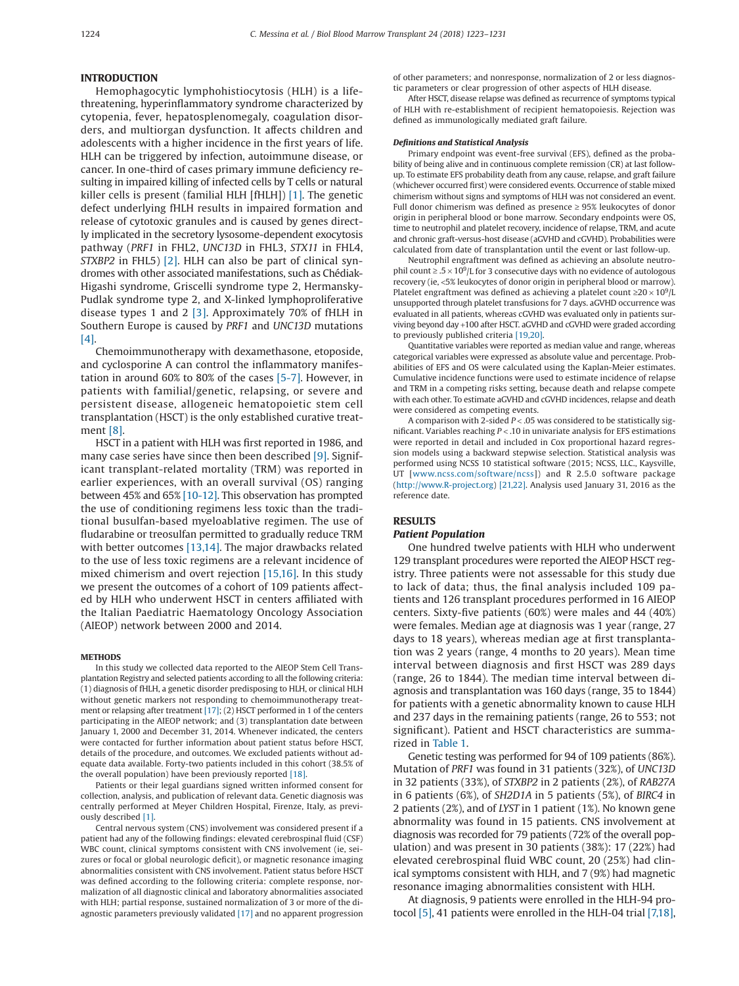#### **INTRODUCTION**

Hemophagocytic lymphohistiocytosis (HLH) is a lifethreatening, hyperinflammatory syndrome characterized by cytopenia, fever, hepatosplenomegaly, coagulation disorders, and multiorgan dysfunction. It affects children and adolescents with a higher incidence in the first years of life. HLH can be triggered by infection, autoimmune disease, or cancer. In one-third of cases primary immune deficiency resulting in impaired killing of infected cells by T cells or natural killer cells is present (familial HLH [fHLH]) [\[1\].](#page-7-0) The genetic defect underlying fHLH results in impaired formation and release of cytotoxic granules and is caused by genes directly implicated in the secretory lysosome-dependent exocytosis pathway (*PRF1* in FHL2, *UNC13D* in FHL3, *STX11* in FHL4, *STXBP2* in FHL5) [\[2\].](#page-7-1) HLH can also be part of clinical syndromes with other associated manifestations, such as Chédiak-Higashi syndrome, Griscelli syndrome type 2, Hermansky-Pudlak syndrome type 2, and X-linked lymphoproliferative disease types 1 and 2 [\[3\].](#page-7-2) Approximately 70% of fHLH in Southern Europe is caused by *PRF1* and *UNC13D* mutations [\[4\].](#page-7-3)

Chemoimmunotherapy with dexamethasone, etoposide, and cyclosporine A can control the inflammatory manifestation in around 60% to 80% of the cases [\[5-7\].](#page-7-4) However, in patients with familial/genetic, relapsing, or severe and persistent disease, allogeneic hematopoietic stem cell transplantation (HSCT) is the only established curative treatment [\[8\].](#page-7-5)

HSCT in a patient with HLH was first reported in 1986, and many case series have since then been described [\[9\].](#page-7-6) Significant transplant-related mortality (TRM) was reported in earlier experiences, with an overall survival (OS) ranging between 45% and 65% [\[10-12\].](#page-7-7) This observation has prompted the use of conditioning regimens less toxic than the traditional busulfan-based myeloablative regimen. The use of fludarabine or treosulfan permitted to gradually reduce TRM with better outcomes [\[13,14\].](#page-7-8) The major drawbacks related to the use of less toxic regimens are a relevant incidence of mixed chimerism and overt rejection [\[15,16\].](#page-7-9) In this study we present the outcomes of a cohort of 109 patients affected by HLH who underwent HSCT in centers affiliated with the Italian Paediatric Haematology Oncology Association (AIEOP) network between 2000 and 2014.

#### **METHODS**

In this study we collected data reported to the AIEOP Stem Cell Transplantation Registry and selected patients according to all the following criteria: (1) diagnosis of fHLH, a genetic disorder predisposing to HLH, or clinical HLH without genetic markers not responding to chemoimmunotherapy treatment or relapsing after treatment [\[17\];](#page-7-10) (2) HSCT performed in 1 of the centers participating in the AIEOP network; and (3) transplantation date between January 1, 2000 and December 31, 2014. Whenever indicated, the centers were contacted for further information about patient status before HSCT, details of the procedure, and outcomes. We excluded patients without adequate data available. Forty-two patients included in this cohort (38.5% of the overall population) have been previously reported [\[18\].](#page-7-11)

Patients or their legal guardians signed written informed consent for collection, analysis, and publication of relevant data. Genetic diagnosis was centrally performed at Meyer Children Hospital, Firenze, Italy, as previously described [\[1\].](#page-7-0)

Central nervous system (CNS) involvement was considered present if a patient had any of the following findings: elevated cerebrospinal fluid (CSF) WBC count, clinical symptoms consistent with CNS involvement (ie, seizures or focal or global neurologic deficit), or magnetic resonance imaging abnormalities consistent with CNS involvement. Patient status before HSCT was defined according to the following criteria: complete response, normalization of all diagnostic clinical and laboratory abnormalities associated with HLH; partial response, sustained normalization of 3 or more of the diagnostic parameters previously validated [\[17\]](#page-7-10) and no apparent progression of other parameters; and nonresponse, normalization of 2 or less diagnostic parameters or clear progression of other aspects of HLH disease.

After HSCT, disease relapse was defined as recurrence of symptoms typical of HLH with re-establishment of recipient hematopoiesis. Rejection was defined as immunologically mediated graft failure.

#### *Definitions and Statistical Analysis*

Primary endpoint was event-free survival (EFS), defined as the probability of being alive and in continuous complete remission (CR) at last followup. To estimate EFS probability death from any cause, relapse, and graft failure (whichever occurred first) were considered events. Occurrence of stable mixed chimerism without signs and symptoms of HLH was not considered an event. Full donor chimerism was defined as presence ≥ 95% leukocytes of donor origin in peripheral blood or bone marrow. Secondary endpoints were OS, time to neutrophil and platelet recovery, incidence of relapse, TRM, and acute and chronic graft-versus-host disease (aGVHD and cGVHD). Probabilities were calculated from date of transplantation until the event or last follow-up.

Neutrophil engraftment was defined as achieving an absolute neutrophil count  $\geq 0.5 \times 10^9$ /L for 3 consecutive days with no evidence of autologous recovery (ie, <5% leukocytes of donor origin in peripheral blood or marrow). Platelet engraftment was defined as achieving a platelet count  $\geq$ 20  $\times$  10<sup>9</sup>/L unsupported through platelet transfusions for 7 days. aGVHD occurrence was evaluated in all patients, whereas cGVHD was evaluated only in patients surviving beyond day +100 after HSCT. aGVHD and cGVHD were graded according to previously published criteria [\[19,20\].](#page-7-12)

Quantitative variables were reported as median value and range, whereas categorical variables were expressed as absolute value and percentage. Probabilities of EFS and OS were calculated using the Kaplan-Meier estimates. Cumulative incidence functions were used to estimate incidence of relapse and TRM in a competing risks setting, because death and relapse compete with each other. To estimate aGVHD and cGVHD incidences, relapse and death were considered as competing events.

A comparison with 2-sided *P* < .05 was considered to be statistically significant. Variables reaching *P* < .10 in univariate analysis for EFS estimations were reported in detail and included in Cox proportional hazard regression models using a backward stepwise selection. Statistical analysis was performed using NCSS 10 statistical software (2015; NCSS, LLC., Kaysville, UT [\[www.ncss.com/software/ncss\]](http://www.ncss.com/software/ncss)) and R 2.5.0 software package [\(http://www.R-project.org\)](http://www.R-project.org) [\[21,22\].](#page-7-13) Analysis used January 31, 2016 as the reference date.

## **RESULTS**

#### *Patient Population*

One hundred twelve patients with HLH who underwent 129 transplant procedures were reported the AIEOP HSCT registry. Three patients were not assessable for this study due to lack of data; thus, the final analysis included 109 patients and 126 transplant procedures performed in 16 AIEOP centers. Sixty-five patients (60%) were males and 44 (40%) were females. Median age at diagnosis was 1 year (range, 27 days to 18 years), whereas median age at first transplantation was 2 years (range, 4 months to 20 years). Mean time interval between diagnosis and first HSCT was 289 days (range, 26 to 1844). The median time interval between diagnosis and transplantation was 160 days (range, 35 to 1844) for patients with a genetic abnormality known to cause HLH and 237 days in the remaining patients (range, 26 to 553; not significant). Patient and HSCT characteristics are summarized in [Table 1.](#page-2-0)

Genetic testing was performed for 94 of 109 patients (86%). Mutation of *PRF1* was found in 31 patients (32%), of *UNC13D* in 32 patients (33%), of *STXBP2* in 2 patients (2%), of *RAB27A* in 6 patients (6%), of *SH2D1A* in 5 patients (5%), of *BIRC4* in 2 patients (2%), and of *LYST* in 1 patient (1%). No known gene abnormality was found in 15 patients. CNS involvement at diagnosis was recorded for 79 patients (72% of the overall population) and was present in 30 patients (38%): 17 (22%) had elevated cerebrospinal fluid WBC count, 20 (25%) had clinical symptoms consistent with HLH, and 7 (9%) had magnetic resonance imaging abnormalities consistent with HLH.

At diagnosis, 9 patients were enrolled in the HLH-94 protocol [\[5\],](#page-7-4) 41 patients were enrolled in the HLH-04 trial [\[7,18\],](#page-7-14)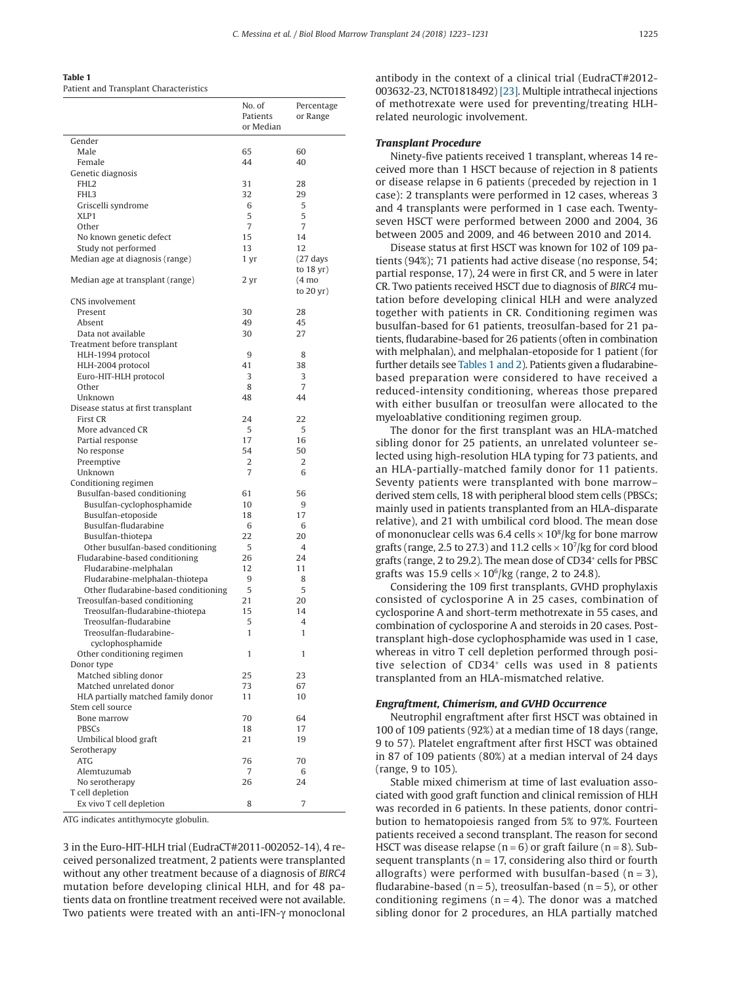<span id="page-2-0"></span>**Table 1** Patient and Transplant Characteristics

|                                                   | No. of<br>Patients<br>or Median | Percentage<br>or Range                     |
|---------------------------------------------------|---------------------------------|--------------------------------------------|
| Gender                                            |                                 |                                            |
| Male                                              | 65                              | 60                                         |
| Female                                            | 44                              | 40                                         |
| Genetic diagnosis                                 |                                 |                                            |
| FHL <sub>2</sub>                                  | 31                              | 28                                         |
| FHL3                                              | 32                              | 29                                         |
| Griscelli syndrome<br>XLP1                        | 6<br>5                          | 5<br>5                                     |
| Other                                             | 7                               | 7                                          |
| No known genetic defect                           | 15                              | 14                                         |
| Study not performed                               | 13                              | 12                                         |
| Median age at diagnosis (range)                   | 1 yr                            | $(27 \text{ days})$                        |
| Median age at transplant (range)                  | 2 yr                            | to 18 yr)<br>$(4 \text{ mo})$<br>to 20 yr) |
| CNS involvement                                   |                                 |                                            |
| Present                                           | 30                              | 28                                         |
| Absent                                            | 49                              | 45                                         |
| Data not available                                | 30                              | 27                                         |
| Treatment before transplant                       |                                 |                                            |
| HLH-1994 protocol                                 | 9                               | 8                                          |
| HLH-2004 protocol<br>Euro-HIT-HLH protocol        | 41<br>3                         | 38<br>3                                    |
| Other                                             | 8                               | $\overline{7}$                             |
| Unknown                                           | 48                              | 44                                         |
| Disease status at first transplant                |                                 |                                            |
| First CR                                          | 24                              | 22                                         |
| More advanced CR                                  | 5                               | 5                                          |
| Partial response                                  | 17                              | 16                                         |
| No response                                       | 54                              | 50                                         |
| Preemptive                                        | 2                               | 2                                          |
| Unknown                                           | 7                               | 6                                          |
| Conditioning regimen                              |                                 |                                            |
| Busulfan-based conditioning                       | 61                              | 56                                         |
| Busulfan-cyclophosphamide<br>Busulfan-etoposide   | 10<br>18                        | 9<br>17                                    |
| Busulfan-fludarabine                              | 6                               | 6                                          |
| Busulfan-thiotepa                                 | 22                              | 20                                         |
| Other busulfan-based conditioning                 | 5                               | $\overline{4}$                             |
| Fludarabine-based conditioning                    | 26                              | 24                                         |
| Fludarabine-melphalan                             | 12                              | 11                                         |
| Fludarabine-melphalan-thiotepa                    | 9                               | 8                                          |
| Other fludarabine-based conditioning              | 5                               | 5                                          |
| Treosulfan-based conditioning                     | 21                              | 20                                         |
| Treosulfan-fludarabine-thiotepa                   | 15                              | 14                                         |
| Treosulfan-fludarabine<br>Treosulfan-fludarabine- | 5<br>1                          | 4<br>1                                     |
| cyclophosphamide                                  |                                 |                                            |
| Other conditioning regimen                        | 1                               | 1                                          |
| Donor type                                        |                                 |                                            |
| Matched sibling donor                             | 25                              | 23                                         |
| Matched unrelated donor                           | 73                              | 67                                         |
| HLA partially matched family donor                | 11                              | 10                                         |
| Stem cell source                                  |                                 |                                            |
| Bone marrow                                       | 70                              | 64                                         |
| PBSCs                                             | 18                              | 17                                         |
| Umbilical blood graft                             | 21                              | 19                                         |
| Serotherapy<br><b>ATG</b>                         | 76                              | 70                                         |
| Alemtuzumab                                       | 7                               | 6                                          |
| No serotherapy                                    | 26                              | 24                                         |
| T cell depletion                                  |                                 |                                            |
| Ex vivo T cell depletion                          | 8                               | 7                                          |

ATG indicates antithymocyte globulin.

3 in the Euro-HIT-HLH trial (EudraCT#2011-002052-14), 4 received personalized treatment, 2 patients were transplanted without any other treatment because of a diagnosis of *BIRC4* mutation before developing clinical HLH, and for 48 patients data on frontline treatment received were not available. Two patients were treated with an anti-IFN-γ monoclonal

antibody in the context of a clinical trial (EudraCT#2012- 003632-23, NCT01818492) [\[23\].](#page-7-15) Multiple intrathecal injections of methotrexate were used for preventing/treating HLHrelated neurologic involvement.

## *Transplant Procedure*

Ninety-five patients received 1 transplant, whereas 14 received more than 1 HSCT because of rejection in 8 patients or disease relapse in 6 patients (preceded by rejection in 1 case): 2 transplants were performed in 12 cases, whereas 3 and 4 transplants were performed in 1 case each. Twentyseven HSCT were performed between 2000 and 2004, 36 between 2005 and 2009, and 46 between 2010 and 2014.

Disease status at first HSCT was known for 102 of 109 patients (94%); 71 patients had active disease (no response, 54; partial response, 17), 24 were in first CR, and 5 were in later CR. Two patients received HSCT due to diagnosis of *BIRC4* mutation before developing clinical HLH and were analyzed together with patients in CR. Conditioning regimen was busulfan-based for 61 patients, treosulfan-based for 21 patients, fludarabine-based for 26 patients (often in combination with melphalan), and melphalan-etoposide for 1 patient (for further details see Tables 1 and 2). Patients given a fludarabinebased preparation were considered to have received a reduced-intensity conditioning, whereas those prepared with either busulfan or treosulfan were allocated to the myeloablative conditioning regimen group.

The donor for the first transplant was an HLA-matched sibling donor for 25 patients, an unrelated volunteer selected using high-resolution HLA typing for 73 patients, and an HLA-partially-matched family donor for 11 patients. Seventy patients were transplanted with bone marrow– derived stem cells, 18 with peripheral blood stem cells (PBSCs; mainly used in patients transplanted from an HLA-disparate relative), and 21 with umbilical cord blood. The mean dose of mononuclear cells was 6.4 cells  $\times$  10 $^{8}$ /kg for bone marrow grafts (range, 2.5 to 27.3) and 11.2 cells  $\times$  10<sup>7</sup>/kg for cord blood grafts (range, 2 to 29.2). The mean dose of CD34<sup>+</sup> cells for PBSC grafts was 15.9 cells  $\times$  10<sup>6</sup>/kg (range, 2 to 24.8).

Considering the 109 first transplants, GVHD prophylaxis consisted of cyclosporine A in 25 cases, combination of cyclosporine A and short-term methotrexate in 55 cases, and combination of cyclosporine A and steroids in 20 cases. Posttransplant high-dose cyclophosphamide was used in 1 case, whereas in vitro T cell depletion performed through positive selection of CD34<sup>+</sup> cells was used in 8 patients transplanted from an HLA-mismatched relative.

#### *Engraftment, Chimerism, and GVHD Occurrence*

Neutrophil engraftment after first HSCT was obtained in 100 of 109 patients (92%) at a median time of 18 days (range, 9 to 57). Platelet engraftment after first HSCT was obtained in 87 of 109 patients (80%) at a median interval of 24 days (range, 9 to 105).

Stable mixed chimerism at time of last evaluation associated with good graft function and clinical remission of HLH was recorded in 6 patients. In these patients, donor contribution to hematopoiesis ranged from 5% to 97%. Fourteen patients received a second transplant. The reason for second HSCT was disease relapse ( $n = 6$ ) or graft failure ( $n = 8$ ). Subsequent transplants ( $n = 17$ , considering also third or fourth allografts) were performed with busulfan-based  $(n = 3)$ , fludarabine-based ( $n = 5$ ), treosulfan-based ( $n = 5$ ), or other conditioning regimens ( $n = 4$ ). The donor was a matched sibling donor for 2 procedures, an HLA partially matched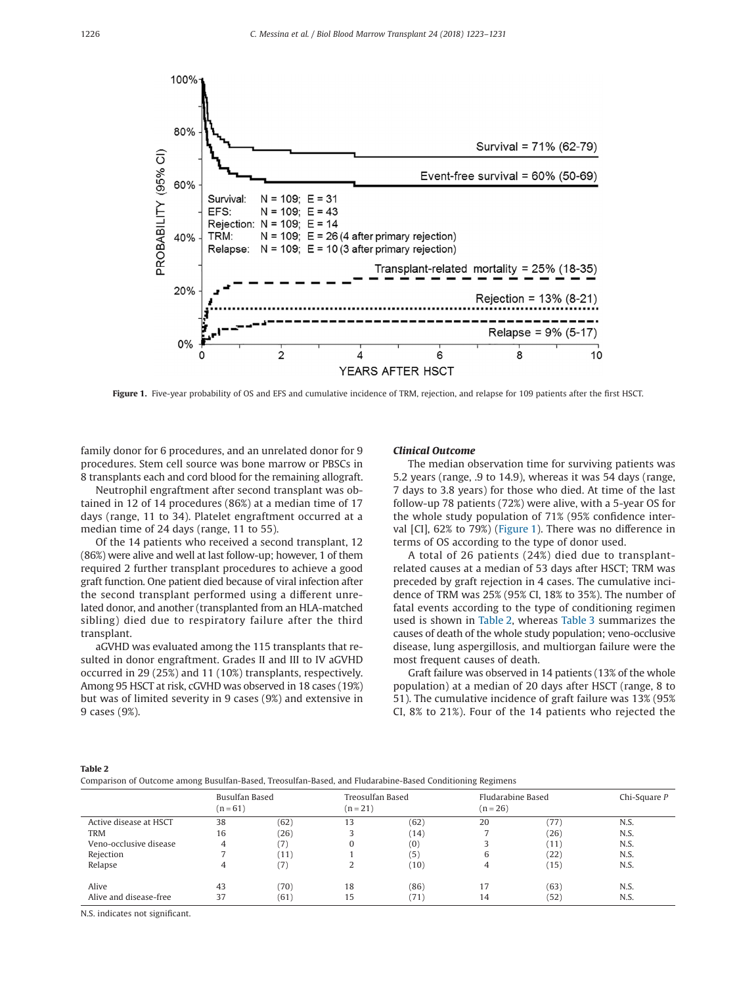<span id="page-3-0"></span>

Figure 1. Five-year probability of OS and EFS and cumulative incidence of TRM, rejection, and relapse for 109 patients after the first HSCT.

family donor for 6 procedures, and an unrelated donor for 9 procedures. Stem cell source was bone marrow or PBSCs in 8 transplants each and cord blood for the remaining allograft.

Neutrophil engraftment after second transplant was obtained in 12 of 14 procedures (86%) at a median time of 17 days (range, 11 to 34). Platelet engraftment occurred at a median time of 24 days (range, 11 to 55).

Of the 14 patients who received a second transplant, 12 (86%) were alive and well at last follow-up; however, 1 of them required 2 further transplant procedures to achieve a good graft function. One patient died because of viral infection after the second transplant performed using a different unrelated donor, and another (transplanted from an HLA-matched sibling) died due to respiratory failure after the third transplant.

aGVHD was evaluated among the 115 transplants that resulted in donor engraftment. Grades II and III to IV aGVHD occurred in 29 (25%) and 11 (10%) transplants, respectively. Among 95 HSCT at risk, cGVHD was observed in 18 cases (19%) but was of limited severity in 9 cases (9%) and extensive in 9 cases (9%).

## *Clinical Outcome*

The median observation time for surviving patients was 5.2 years (range, .9 to 14.9), whereas it was 54 days (range, 7 days to 3.8 years) for those who died. At time of the last follow-up 78 patients (72%) were alive, with a 5-year OS for the whole study population of 71% (95% confidence interval [CI], 62% to 79%) (Figure 1). There was no difference in terms of OS according to the type of donor used.

A total of 26 patients (24%) died due to transplantrelated causes at a median of 53 days after HSCT; TRM was preceded by graft rejection in 4 cases. The cumulative incidence of TRM was 25% (95% CI, 18% to 35%). The number of fatal events according to the type of conditioning regimen used is shown in Table 2, whereas [Table 3](#page-4-0) summarizes the causes of death of the whole study population; veno-occlusive disease, lung aspergillosis, and multiorgan failure were the most frequent causes of death.

Graft failure was observed in 14 patients (13% of the whole population) at a median of 20 days after HSCT (range, 8 to 51). The cumulative incidence of graft failure was 13% (95% CI, 8% to 21%). Four of the 14 patients who rejected the

#### **Table 2**

Comparison of Outcome among Busulfan-Based, Treosulfan-Based, and Fludarabine-Based Conditioning Regimens

|                        | Busulfan Based<br>$(n = 61)$ |      | Treosulfan Based<br>$(n = 21)$ |      | Fludarabine Based<br>$(n = 26)$ |                        | Chi-Square $P$ |  |
|------------------------|------------------------------|------|--------------------------------|------|---------------------------------|------------------------|----------------|--|
| Active disease at HSCT | 38                           | (62) | 13                             | (62) | 20                              | 77                     | N.S.           |  |
| <b>TRM</b>             | 16                           | (26) |                                | (14) |                                 | (26)                   | N.S.           |  |
| Veno-occlusive disease | 4                            | (7)  |                                | (0)  |                                 | $^{\prime}11^{\prime}$ | N.S.           |  |
| Rejection              |                              | (11) |                                | (5)  |                                 | (22)                   | N.S.           |  |
| Relapse                | 4                            | (7)  | ◠                              | (10) |                                 | (15)                   | N.S.           |  |
| Alive                  | 43                           | (70) | 18                             | (86) | 17                              | (63)                   | N.S.           |  |
| Alive and disease-free | 37                           | (61) | 15                             | (71) | 14                              | (52)                   | N.S.           |  |

N.S. indicates not significant.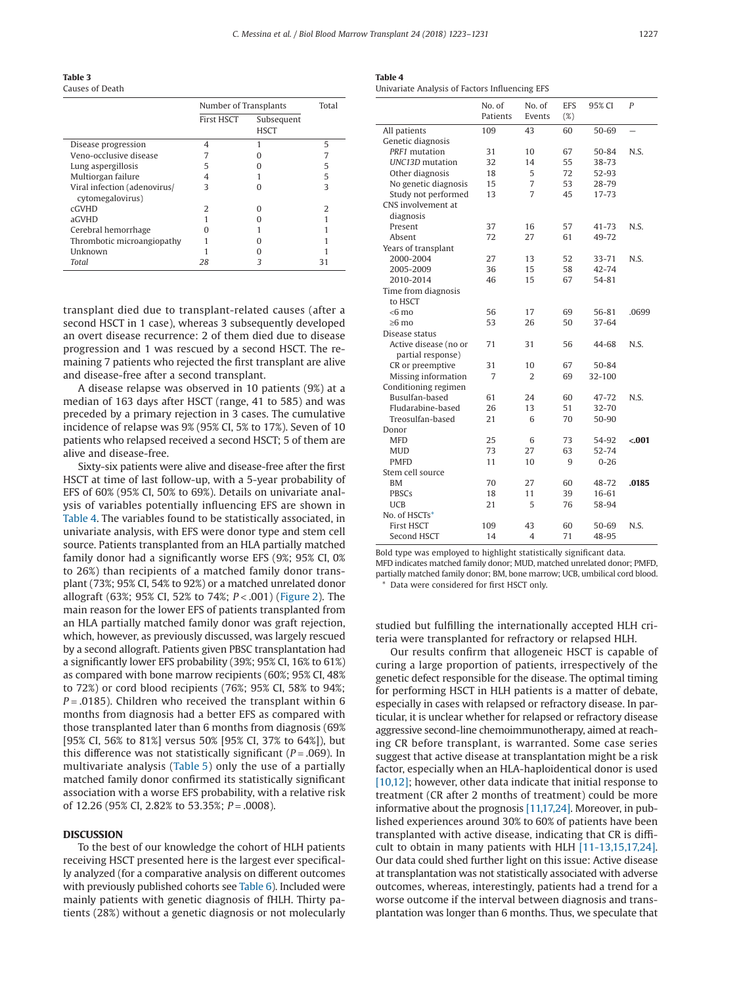<span id="page-4-0"></span>**Table 3** Causes of Death

| Causcs of Death                                  |                       |                           |   |
|--------------------------------------------------|-----------------------|---------------------------|---|
|                                                  | Number of Transplants | Total                     |   |
|                                                  | <b>First HSCT</b>     | Subsequent<br><b>HSCT</b> |   |
| Disease progression                              | 4                     |                           | 5 |
| Veno-occlusive disease                           |                       |                           |   |
| Lung aspergillosis                               | 5                     |                           | 5 |
| Multiorgan failure                               | 4                     |                           | 5 |
| Viral infection (adenovirus/<br>cytomegalovirus) | 3                     |                           | 3 |
| <b>cGVHD</b>                                     | 7                     |                           |   |
| aGVHD                                            |                       |                           |   |
| Cerebral hemorrhage                              |                       |                           |   |
| Thrombotic microangiopathy                       |                       |                           |   |
| Unknown                                          |                       |                           |   |
| Total                                            | 28                    |                           |   |

transplant died due to transplant-related causes (after a second HSCT in 1 case), whereas 3 subsequently developed an overt disease recurrence: 2 of them died due to disease progression and 1 was rescued by a second HSCT. The remaining 7 patients who rejected the first transplant are alive and disease-free after a second transplant.

A disease relapse was observed in 10 patients (9%) at a median of 163 days after HSCT (range, 41 to 585) and was preceded by a primary rejection in 3 cases. The cumulative incidence of relapse was 9% (95% CI, 5% to 17%). Seven of 10 patients who relapsed received a second HSCT; 5 of them are alive and disease-free.

Sixty-six patients were alive and disease-free after the first HSCT at time of last follow-up, with a 5-year probability of EFS of 60% (95% CI, 50% to 69%). Details on univariate analysis of variables potentially influencing EFS are shown in Table 4. The variables found to be statistically associated, in univariate analysis, with EFS were donor type and stem cell source. Patients transplanted from an HLA partially matched family donor had a significantly worse EFS (9%; 95% CI, 0% to 26%) than recipients of a matched family donor transplant (73%; 95% CI, 54% to 92%) or a matched unrelated donor allograft (63%; 95% CI, 52% to 74%; *P* < .001) [\(Figure 2\)](#page-5-0). The main reason for the lower EFS of patients transplanted from an HLA partially matched family donor was graft rejection, which, however, as previously discussed, was largely rescued by a second allograft. Patients given PBSC transplantation had a significantly lower EFS probability (39%; 95% CI, 16% to 61%) as compared with bone marrow recipients (60%; 95% CI, 48% to 72%) or cord blood recipients (76%; 95% CI, 58% to 94%; *P* = .0185). Children who received the transplant within 6 months from diagnosis had a better EFS as compared with those transplanted later than 6 months from diagnosis (69% [95% CI, 56% to 81%] versus 50% [95% CI, 37% to 64%]), but this difference was not statistically significant (*P* = .069). In multivariate analysis [\(Table 5\)](#page-5-0) only the use of a partially matched family donor confirmed its statistically significant association with a worse EFS probability, with a relative risk of 12.26 (95% CI, 2.82% to 53.35%; *P* = .0008).

#### **DISCUSSION**

To the best of our knowledge the cohort of HLH patients receiving HSCT presented here is the largest ever specifically analyzed (for a comparative analysis on different outcomes with previously published cohorts see [Table 6\)](#page-6-0). Included were mainly patients with genetic diagnosis of fHLH. Thirty patients (28%) without a genetic diagnosis or not molecularly

| Table 4 |  |  |  |  |  |
|---------|--|--|--|--|--|
|         |  |  |  |  |  |

Univariate Analysis of Factors Influencing EFS

|                        | No. of<br>Patients | No. of<br>Events | <b>EFS</b><br>(%) | 95% CI     | P       |
|------------------------|--------------------|------------------|-------------------|------------|---------|
| All patients           | 109                | 43               | 60                | 50-69      |         |
| Genetic diagnosis      |                    |                  |                   |            |         |
| PRF1 mutation          | 31                 | 10               | 67                | 50-84      | N.S.    |
| <b>UNC13D</b> mutation | 32                 | 14               | 55                | 38-73      |         |
| Other diagnosis        | 18                 | 5                | 72                | 52-93      |         |
| No genetic diagnosis   | 15                 | 7                | 53                | 28-79      |         |
| Study not performed    | 13                 | 7                | 45                | 17-73      |         |
| CNS involvement at     |                    |                  |                   |            |         |
| diagnosis              |                    |                  |                   |            |         |
| Present                | 37                 | 16               | 57                | 41-73      | N.S.    |
| Absent                 | 72                 | 27               | 61                | 49-72      |         |
| Years of transplant    |                    |                  |                   |            |         |
| 2000-2004              | 27                 | 13               | 52                | $33 - 71$  | N.S.    |
| 2005-2009              | 36                 | 15               | 58                | 42-74      |         |
| 2010-2014              | 46                 | 15               | 67                | 54-81      |         |
| Time from diagnosis    |                    |                  |                   |            |         |
| to HSCT                |                    |                  |                   |            |         |
| $<$ 6 mo               | 56                 | 17               | 69                | 56-81      | .0699   |
| $>6$ mo                | 53                 | 26               | 50                | $37 - 64$  |         |
| Disease status         |                    |                  |                   |            |         |
| Active disease (no or  | 71                 | 31               | 56                | 44-68      | N.S.    |
| partial response)      |                    |                  |                   |            |         |
| CR or preemptive       | 31                 | 10               | 67                | $50 - 84$  |         |
| Missing information    | 7                  | $\overline{2}$   | 69                | $32 - 100$ |         |
| Conditioning regimen   |                    |                  |                   |            |         |
| Busulfan-based         | 61                 | 24               | 60                | 47-72      | N.S.    |
| Fludarabine-based      | 26                 | 13               | 51                | 32-70      |         |
| Treosulfan-based       | 21                 | 6                | 70                | 50-90      |         |
| Donor                  |                    |                  |                   |            |         |
| <b>MFD</b>             | 25                 | 6                | 73                | 54-92      | $-.001$ |
| <b>MUD</b>             | 73                 | 27               | 63                | 52-74      |         |
| <b>PMFD</b>            | 11                 | 10               | 9                 | $0 - 26$   |         |
| Stem cell source       |                    |                  |                   |            |         |
| BM                     | 70                 | 27               | 60                | 48-72      | .0185   |
| <b>PBSCs</b>           | 18                 | 11               | 39                | 16-61      |         |
| <b>UCB</b>             | 21                 | 5                | 76                | 58-94      |         |
| No. of HSCTs*          |                    |                  |                   |            |         |
| <b>First HSCT</b>      | 109                | 43               | 60                | 50-69      | N.S.    |
| Second HSCT            | 14                 | 4                | 71                | 48-95      |         |

Bold type was employed to highlight statistically significant data. MFD indicates matched family donor; MUD, matched unrelated donor; PMFD, partially matched family donor; BM, bone marrow; UCB, umbilical cord blood.

<span id="page-4-1"></span>Data were considered for first HSCT only.

studied but fulfilling the internationally accepted HLH criteria were transplanted for refractory or relapsed HLH.

Our results confirm that allogeneic HSCT is capable of curing a large proportion of patients, irrespectively of the genetic defect responsible for the disease. The optimal timing for performing HSCT in HLH patients is a matter of debate, especially in cases with relapsed or refractory disease. In particular, it is unclear whether for relapsed or refractory disease aggressive second-line chemoimmunotherapy, aimed at reaching CR before transplant, is warranted. Some case series suggest that active disease at transplantation might be a risk factor, especially when an HLA-haploidentical donor is used [\[10,12\];](#page-7-7) however, other data indicate that initial response to treatment (CR after 2 months of treatment) could be more informative about the prognosis [\[11,17,24\].](#page-7-16) Moreover, in published experiences around 30% to 60% of patients have been transplanted with active disease, indicating that CR is difficult to obtain in many patients with HLH [\[11-13,15,17,24\].](#page-7-16) Our data could shed further light on this issue: Active disease at transplantation was not statistically associated with adverse outcomes, whereas, interestingly, patients had a trend for a worse outcome if the interval between diagnosis and transplantation was longer than 6 months. Thus, we speculate that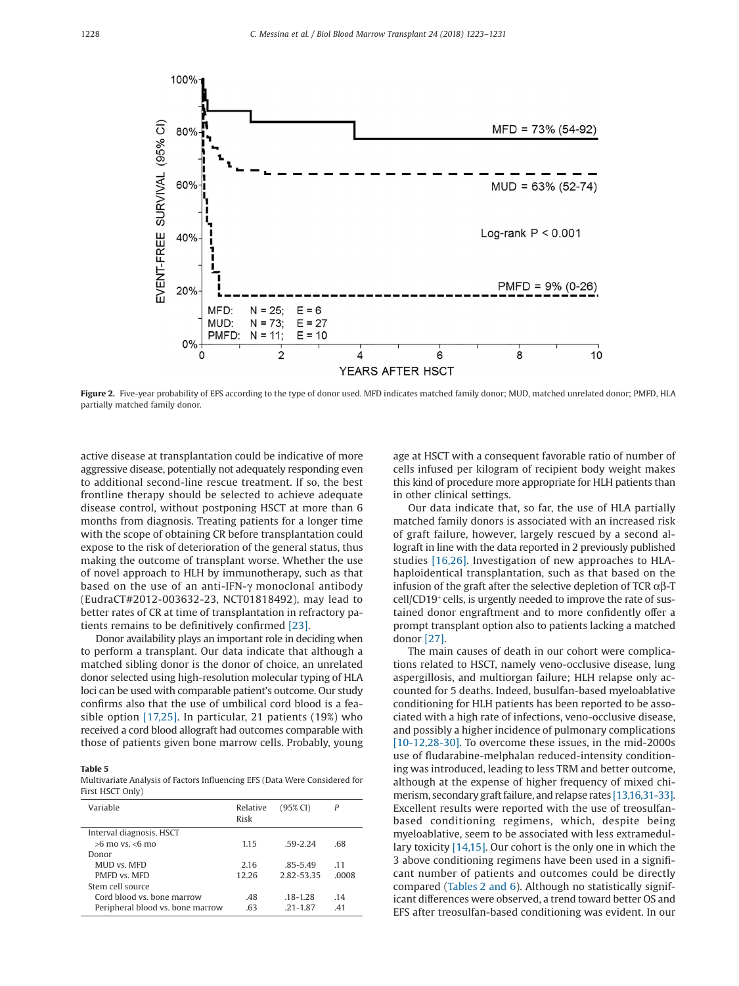<span id="page-5-0"></span>

**Figure 2.** Five-year probability of EFS according to the type of donor used. MFD indicates matched family donor; MUD, matched unrelated donor; PMFD, HLA partially matched family donor.

active disease at transplantation could be indicative of more aggressive disease, potentially not adequately responding even to additional second-line rescue treatment. If so, the best frontline therapy should be selected to achieve adequate disease control, without postponing HSCT at more than 6 months from diagnosis. Treating patients for a longer time with the scope of obtaining CR before transplantation could expose to the risk of deterioration of the general status, thus making the outcome of transplant worse. Whether the use of novel approach to HLH by immunotherapy, such as that based on the use of an anti-IFN-γ monoclonal antibody (EudraCT#2012-003632-23, NCT01818492), may lead to better rates of CR at time of transplantation in refractory patients remains to be definitively confirmed [\[23\].](#page-7-15)

Donor availability plays an important role in deciding when to perform a transplant. Our data indicate that although a matched sibling donor is the donor of choice, an unrelated donor selected using high-resolution molecular typing of HLA loci can be used with comparable patient's outcome. Our study confirms also that the use of umbilical cord blood is a feasible option [\[17,25\].](#page-7-10) In particular, 21 patients (19%) who received a cord blood allograft had outcomes comparable with those of patients given bone marrow cells. Probably, young

#### **Table 5**

Multivariate Analysis of Factors Influencing EFS (Data Were Considered for First HSCT Only)

| Variable                         | Relative<br>Risk | (95% CI)     | P    |
|----------------------------------|------------------|--------------|------|
| Interval diagnosis, HSCT         |                  |              |      |
| $>6$ mo ys. $< 6$ mo             | 1.15             | 59-2.24      | .68  |
| Donor                            |                  |              |      |
| MUD vs. MFD                      | 2.16             | $.85 - 5.49$ | 11   |
| PMFD vs MFD                      | 12.26            | 2.82-53.35   | 0008 |
| Stem cell source                 |                  |              |      |
| Cord blood vs. bone marrow       | .48              | $.18 - 1.28$ | .14  |
| Peripheral blood vs. bone marrow | .63              | $.21 - 1.87$ | 41   |
|                                  |                  |              |      |

age at HSCT with a consequent favorable ratio of number of cells infused per kilogram of recipient body weight makes this kind of procedure more appropriate for HLH patients than in other clinical settings.

Our data indicate that, so far, the use of HLA partially matched family donors is associated with an increased risk of graft failure, however, largely rescued by a second allograft in line with the data reported in 2 previously published studies [\[16,26\].](#page-7-17) Investigation of new approaches to HLAhaploidentical transplantation, such as that based on the infusion of the graft after the selective depletion of TCR  $\alpha$ β-T cell/CD19<sup>+</sup> cells, is urgently needed to improve the rate of sustained donor engraftment and to more confidently offer a prompt transplant option also to patients lacking a matched donor [\[27\].](#page-7-18)

The main causes of death in our cohort were complications related to HSCT, namely veno-occlusive disease, lung aspergillosis, and multiorgan failure; HLH relapse only accounted for 5 deaths. Indeed, busulfan-based myeloablative conditioning for HLH patients has been reported to be associated with a high rate of infections, veno-occlusive disease, and possibly a higher incidence of pulmonary complications [\[10-12,28-30\].](#page-7-7) To overcome these issues, in the mid-2000s use of fludarabine-melphalan reduced-intensity conditioning was introduced, leading to less TRM and better outcome, although at the expense of higher frequency of mixed chimerism, secondary graft failure, and relapse rates [\[13,16,31-33\].](#page-7-8) Excellent results were reported with the use of treosulfanbased conditioning regimens, which, despite being myeloablative, seem to be associated with less extramedullary toxicity [\[14,15\].](#page-7-19) Our cohort is the only one in which the 3 above conditioning regimens have been used in a significant number of patients and outcomes could be directly compared [\(Tables 2 and 6\)](#page-3-0). Although no statistically significant differences were observed, a trend toward better OS and EFS after treosulfan-based conditioning was evident. In our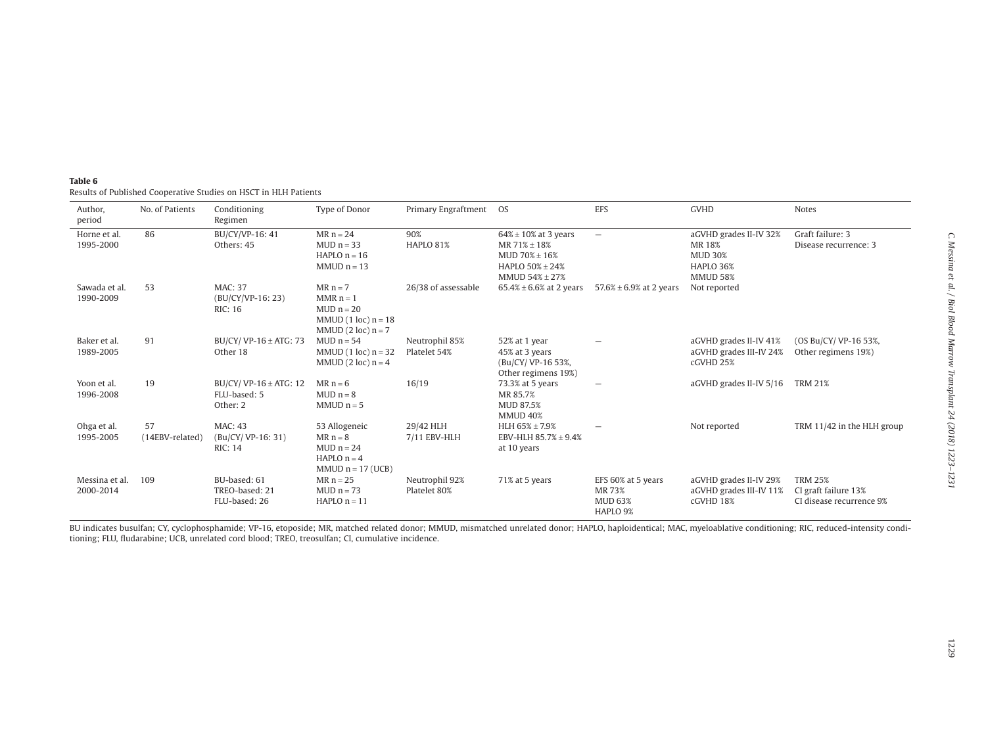<span id="page-6-0"></span>

| Table 6                                                          |
|------------------------------------------------------------------|
| Results of Published Cooperative Studies on HSCT in HLH Patients |

| Author,<br>period           | No. of Patients       | Conditioning<br>Regimen                                | Type of Donor                                                                              | Primary Engraftment OS         |                                                                                                            | <b>EFS</b>                                                 | <b>GVHD</b>                                                                        | <b>Notes</b>                                                       |
|-----------------------------|-----------------------|--------------------------------------------------------|--------------------------------------------------------------------------------------------|--------------------------------|------------------------------------------------------------------------------------------------------------|------------------------------------------------------------|------------------------------------------------------------------------------------|--------------------------------------------------------------------|
| Horne et al.<br>1995-2000   | 86                    | BU/CY/VP-16: 41<br>Others: 45                          | $MR n = 24$<br>$MUD n = 33$<br>$HAPLO$ n = 16<br>$MMDn = 13$                               | 90%<br>HAPLO 81%               | $64\% \pm 10\%$ at 3 years<br>$MR 71\% \pm 18\%$<br>$MUD 70% \pm 16%$<br>HAPLO 50% ± 24%<br>MMUD 54% ± 27% | $\overline{\phantom{0}}$                                   | aGVHD grades II-IV 32%<br>MR 18%<br><b>MUD 30%</b><br>HAPLO 36%<br><b>MMUD 58%</b> | Graft failure: 3<br>Disease recurrence: 3                          |
| Sawada et al.<br>1990-2009  | 53                    | <b>MAC: 37</b><br>(BU/CY/VP-16: 23)<br><b>RIC: 16</b>  | $MR n = 7$<br>$MMR n = 1$<br>$MUD n = 20$<br>MMUD $(1 loc) n = 18$<br>MMUD $(2 loc) n = 7$ | 26/38 of assessable            | $65.4\% \pm 6.6\%$ at 2 years                                                                              | 57.6% $\pm$ 6.9% at 2 years                                | Not reported                                                                       |                                                                    |
| Baker et al.<br>1989-2005   | 91                    | BU/CY/ VP-16 $\pm$ ATG: 73<br>Other 18                 | MUD $n = 54$<br>MMUD $(1 loc) n = 32$<br>MMUD $(2 loc) n = 4$                              | Neutrophil 85%<br>Platelet 54% | 52% at 1 year<br>45% at 3 years<br>(Bu/CY/VP-16 53%,<br>Other regimens 19%)                                |                                                            | aGVHD grades II-IV 41%<br>aGVHD grades III-IV 24%<br>cGVHD 25%                     | (OS Bu/CY/ VP-16 53%,<br>Other regimens 19%)                       |
| Yoon et al.<br>1996-2008    | 19                    | BU/CY/ VP-16 $\pm$ ATG: 12<br>FLU-based: 5<br>Other: 2 | $MR n = 6$<br>$MUD n = 8$<br>$MMUD$ $n = 5$                                                | 16/19                          | 73.3% at 5 years<br>MR 85.7%<br>MUD 87.5%<br><b>MMUD 40%</b>                                               |                                                            | aGVHD grades II-IV 5/16                                                            | <b>TRM 21%</b>                                                     |
| Ohga et al.<br>1995-2005    | 57<br>(14EBV-related) | MAC: 43<br>(Bu/CY/VP-16: 31)<br><b>RIC: 14</b>         | 53 Allogeneic<br>$MR n = 8$<br>$MUD n = 24$<br>HAPLO $n = 4$<br>MMUD $n = 17$ (UCB)        | 29/42 HLH<br>7/11 EBV-HLH      | HLH 65% ± 7.9%<br>EBV-HLH 85.7% ± 9.4%<br>at 10 years                                                      |                                                            | Not reported                                                                       | TRM 11/42 in the HLH group                                         |
| Messina et al.<br>2000-2014 | 109                   | BU-based: 61<br>TREO-based: 21<br>FLU-based: 26        | $MR n = 25$<br>$MUD n = 73$<br>$HAPLO$ n = 11                                              | Neutrophil 92%<br>Platelet 80% | 71% at 5 years                                                                                             | EFS 60% at 5 years<br>MR 73%<br><b>MUD 63%</b><br>HAPLO 9% | aGVHD grades II-IV 29%<br>aGVHD grades III-IV 11%<br>cGVHD 18%                     | <b>TRM 25%</b><br>CI graft failure 13%<br>CI disease recurrence 9% |

BU indicates busulfan; CY, cyclophosphamide; VP-16, etoposide; MR, matched related donor; MMUD, mismatched unrelated donor; HAPLO, haploidentical; MAC, myeloablative conditioning; RIC, reduced-intensity conditioning; FLU, fludarabine; UCB, unrelated cord blood; TREO, treosulfan; CI, cumulative incidence.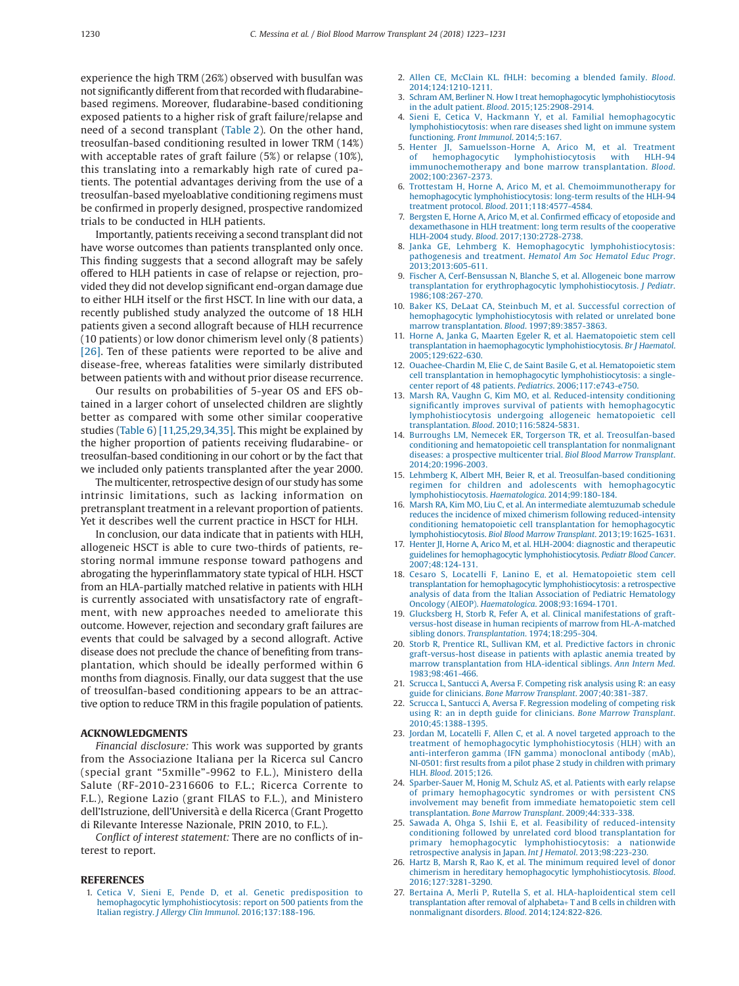experience the high TRM (26%) observed with busulfan was not significantly different from that recorded with fludarabinebased regimens. Moreover, fludarabine-based conditioning exposed patients to a higher risk of graft failure/relapse and need of a second transplant [\(Table 2\)](#page-3-0). On the other hand, treosulfan-based conditioning resulted in lower TRM (14%) with acceptable rates of graft failure (5%) or relapse (10%), this translating into a remarkably high rate of cured patients. The potential advantages deriving from the use of a treosulfan-based myeloablative conditioning regimens must be confirmed in properly designed, prospective randomized trials to be conducted in HLH patients.

Importantly, patients receiving a second transplant did not have worse outcomes than patients transplanted only once. This finding suggests that a second allograft may be safely offered to HLH patients in case of relapse or rejection, provided they did not develop significant end-organ damage due to either HLH itself or the first HSCT. In line with our data, a recently published study analyzed the outcome of 18 HLH patients given a second allograft because of HLH recurrence (10 patients) or low donor chimerism level only (8 patients) [\[26\].](#page-7-20) Ten of these patients were reported to be alive and disease-free, whereas fatalities were similarly distributed between patients with and without prior disease recurrence.

Our results on probabilities of 5-year OS and EFS obtained in a larger cohort of unselected children are slightly better as compared with some other similar cooperative studies [\(Table 6\)](#page-6-0) [\[11,25,29,34,35\].](#page-7-16) This might be explained by the higher proportion of patients receiving fludarabine- or treosulfan-based conditioning in our cohort or by the fact that we included only patients transplanted after the year 2000.

The multicenter, retrospective design of our study has some intrinsic limitations, such as lacking information on pretransplant treatment in a relevant proportion of patients. Yet it describes well the current practice in HSCT for HLH.

In conclusion, our data indicate that in patients with HLH, allogeneic HSCT is able to cure two-thirds of patients, restoring normal immune response toward pathogens and abrogating the hyperinflammatory state typical of HLH. HSCT from an HLA-partially matched relative in patients with HLH is currently associated with unsatisfactory rate of engraftment, with new approaches needed to ameliorate this outcome. However, rejection and secondary graft failures are events that could be salvaged by a second allograft. Active disease does not preclude the chance of benefiting from transplantation, which should be ideally performed within 6 months from diagnosis. Finally, our data suggest that the use of treosulfan-based conditioning appears to be an attractive option to reduce TRM in this fragile population of patients.

### **ACKNOWLEDGMENTS**

*Financial disclosure:* This work was supported by grants from the Associazione Italiana per la Ricerca sul Cancro (special grant "5xmille"-9962 to F.L.), Ministero della Salute (RF-2010-2316606 to F.L.; Ricerca Corrente to F.L.), Regione Lazio (grant FILAS to F.L.), and Ministero dell'Istruzione, dell'Università e della Ricerca (Grant Progetto di Rilevante Interesse Nazionale, PRIN 2010, to F.L.).

*Conflict of interest statement:* There are no conflicts of interest to report.

#### <span id="page-7-0"></span>**REFERENCES**

1. [Cetica V, Sieni E, Pende D, et al. Genetic predisposition to](http://refhub.elsevier.com/S1083-8791(18)30038-7/sr0010) [hemophagocytic lymphohistiocytosis: report on 500 patients from the](http://refhub.elsevier.com/S1083-8791(18)30038-7/sr0010) Italian registry. *[J Allergy Clin Immunol](http://refhub.elsevier.com/S1083-8791(18)30038-7/sr0010)*. 2016;137:188-196.

- <span id="page-7-1"></span>2. [Allen CE, McClain KL. fHLH: becoming a blended family.](http://refhub.elsevier.com/S1083-8791(18)30038-7/sr0015) *Blood*. [2014;124:1210-1211.](http://refhub.elsevier.com/S1083-8791(18)30038-7/sr0015)
- <span id="page-7-2"></span>3. [Schram AM, Berliner N. How I treat hemophagocytic lymphohistiocytosis](http://refhub.elsevier.com/S1083-8791(18)30038-7/sr0020) in the adult patient. *Blood*[. 2015;125:2908-2914.](http://refhub.elsevier.com/S1083-8791(18)30038-7/sr0020)
- <span id="page-7-3"></span>[Sieni E, Cetica V, Hackmann Y, et al. Familial hemophagocytic](http://refhub.elsevier.com/S1083-8791(18)30038-7/sr0025) [lymphohistiocytosis: when rare diseases shed light on immune system](http://refhub.elsevier.com/S1083-8791(18)30038-7/sr0025) functioning. *[Front Immunol](http://refhub.elsevier.com/S1083-8791(18)30038-7/sr0025)*. 2014;5:167.
- <span id="page-7-4"></span>5. [Henter JI, Samuelsson-Horne A, Arico M, et al. Treatment](http://refhub.elsevier.com/S1083-8791(18)30038-7/sr0030) hemophagocytic lymphohistiocytosis with HLH-94 [immunochemotherapy and bone marrow transplantation.](http://refhub.elsevier.com/S1083-8791(18)30038-7/sr0030) *Blood*. [2002;100:2367-2373.](http://refhub.elsevier.com/S1083-8791(18)30038-7/sr0030)
- 6. [Trottestam H, Horne A, Arico M, et al. Chemoimmunotherapy for](http://refhub.elsevier.com/S1083-8791(18)30038-7/sr0035) [hemophagocytic lymphohistiocytosis: long-term results of the HLH-94](http://refhub.elsevier.com/S1083-8791(18)30038-7/sr0035) treatment protocol. *Blood*[. 2011;118:4577-4584.](http://refhub.elsevier.com/S1083-8791(18)30038-7/sr0035)
- <span id="page-7-14"></span>7. [Bergsten E, Horne A, Arico M, et al. Confirmed efficacy of etoposide and](http://refhub.elsevier.com/S1083-8791(18)30038-7/sr0040) [dexamethasone in HLH treatment: long term results of the cooperative](http://refhub.elsevier.com/S1083-8791(18)30038-7/sr0040) HLH-2004 study. *Blood*[. 2017;130:2728-2738.](http://refhub.elsevier.com/S1083-8791(18)30038-7/sr0040)
- <span id="page-7-5"></span>8. [Janka GE, Lehmberg K. Hemophagocytic lymphohistiocytosis:](http://refhub.elsevier.com/S1083-8791(18)30038-7/sr0045) pathogenesis and treatment. *[Hematol Am Soc Hematol Educ Progr](http://refhub.elsevier.com/S1083-8791(18)30038-7/sr0045)*. [2013;2013:605-611.](http://refhub.elsevier.com/S1083-8791(18)30038-7/sr0045)
- <span id="page-7-6"></span>9. [Fischer A, Cerf-Bensussan N, Blanche S, et al. Allogeneic bone marrow](http://refhub.elsevier.com/S1083-8791(18)30038-7/sr0050) [transplantation for erythrophagocytic lymphohistiocytosis.](http://refhub.elsevier.com/S1083-8791(18)30038-7/sr0050) *J Pediatr*. [1986;108:267-270.](http://refhub.elsevier.com/S1083-8791(18)30038-7/sr0050)
- <span id="page-7-7"></span>10. [Baker KS, DeLaat CA, Steinbuch M, et al. Successful correction of](http://refhub.elsevier.com/S1083-8791(18)30038-7/sr0055) [hemophagocytic lymphohistiocytosis with related or unrelated bone](http://refhub.elsevier.com/S1083-8791(18)30038-7/sr0055) [marrow transplantation.](http://refhub.elsevier.com/S1083-8791(18)30038-7/sr0055) *Blood*. 1997;89:3857-3863.
- <span id="page-7-16"></span>11. [Horne A, Janka G, Maarten Egeler R, et al. Haematopoietic stem cell](http://refhub.elsevier.com/S1083-8791(18)30038-7/sr0060) [transplantation in haemophagocytic lymphohistiocytosis.](http://refhub.elsevier.com/S1083-8791(18)30038-7/sr0060) *Br J Haematol*. [2005;129:622-630.](http://refhub.elsevier.com/S1083-8791(18)30038-7/sr0060)
- 12. [Ouachee-Chardin M, Elie C, de Saint Basile G, et al. Hematopoietic stem](http://refhub.elsevier.com/S1083-8791(18)30038-7/sr0065) [cell transplantation in hemophagocytic lymphohistiocytosis: a single](http://refhub.elsevier.com/S1083-8791(18)30038-7/sr0065)[center report of 48 patients.](http://refhub.elsevier.com/S1083-8791(18)30038-7/sr0065) *Pediatrics*. 2006;117:e743-e750.
- <span id="page-7-8"></span>13. [Marsh RA, Vaughn G, Kim MO, et al. Reduced-intensity conditioning](http://refhub.elsevier.com/S1083-8791(18)30038-7/sr0070) [significantly improves survival of patients with hemophagocytic](http://refhub.elsevier.com/S1083-8791(18)30038-7/sr0070) [lymphohistiocytosis undergoing allogeneic hematopoietic cell](http://refhub.elsevier.com/S1083-8791(18)30038-7/sr0070) transplantation. *Blood*[. 2010;116:5824-5831.](http://refhub.elsevier.com/S1083-8791(18)30038-7/sr0070)
- <span id="page-7-19"></span>14. [Burroughs LM, Nemecek ER, Torgerson TR, et al. Treosulfan-based](http://refhub.elsevier.com/S1083-8791(18)30038-7/sr0075) [conditioning and hematopoietic cell transplantation for nonmalignant](http://refhub.elsevier.com/S1083-8791(18)30038-7/sr0075) [diseases: a prospective multicenter trial.](http://refhub.elsevier.com/S1083-8791(18)30038-7/sr0075) *Biol Blood Marrow Transplant*. [2014;20:1996-2003.](http://refhub.elsevier.com/S1083-8791(18)30038-7/sr0075)
- <span id="page-7-9"></span>15. [Lehmberg K, Albert MH, Beier R, et al. Treosulfan-based conditioning](http://refhub.elsevier.com/S1083-8791(18)30038-7/sr0080) [regimen for children and adolescents with hemophagocytic](http://refhub.elsevier.com/S1083-8791(18)30038-7/sr0080) [lymphohistiocytosis.](http://refhub.elsevier.com/S1083-8791(18)30038-7/sr0080) *Haematologica*. 2014;99:180-184.
- <span id="page-7-17"></span>16. [Marsh RA, Kim MO, Liu C, et al. An intermediate alemtuzumab schedule](http://refhub.elsevier.com/S1083-8791(18)30038-7/sr0085) [reduces the incidence of mixed chimerism following reduced-intensity](http://refhub.elsevier.com/S1083-8791(18)30038-7/sr0085) [conditioning hematopoietic cell transplantation for hemophagocytic](http://refhub.elsevier.com/S1083-8791(18)30038-7/sr0085) lymphohistiocytosis. *[Biol Blood Marrow Transplant](http://refhub.elsevier.com/S1083-8791(18)30038-7/sr0085)*. 2013;19:1625-1631.
- <span id="page-7-10"></span>17. [Henter JI, Horne A, Arico M, et al. HLH-2004: diagnostic and therapeutic](http://refhub.elsevier.com/S1083-8791(18)30038-7/sr0090) [guidelines for hemophagocytic lymphohistiocytosis.](http://refhub.elsevier.com/S1083-8791(18)30038-7/sr0090) *Pediatr Blood Cancer*. [2007;48:124-131.](http://refhub.elsevier.com/S1083-8791(18)30038-7/sr0090)
- <span id="page-7-11"></span>18. [Cesaro S, Locatelli F, Lanino E, et al. Hematopoietic stem cell](http://refhub.elsevier.com/S1083-8791(18)30038-7/sr0095) [transplantation for hemophagocytic lymphohistiocytosis: a retrospective](http://refhub.elsevier.com/S1083-8791(18)30038-7/sr0095) [analysis of data from the Italian Association of Pediatric Hematology](http://refhub.elsevier.com/S1083-8791(18)30038-7/sr0095) Oncology (AIEOP). *Haematologica*[. 2008;93:1694-1701.](http://refhub.elsevier.com/S1083-8791(18)30038-7/sr0095)
- <span id="page-7-12"></span>19. [Glucksberg H, Storb R, Fefer A, et al. Clinical manifestations of graft](http://refhub.elsevier.com/S1083-8791(18)30038-7/sr0100)[versus-host disease in human recipients of marrow from HL-A-matched](http://refhub.elsevier.com/S1083-8791(18)30038-7/sr0100) sibling donors. *Transplantation*[. 1974;18:295-304.](http://refhub.elsevier.com/S1083-8791(18)30038-7/sr0100)
- 20. [Storb R, Prentice RL, Sullivan KM, et al. Predictive factors in chronic](http://refhub.elsevier.com/S1083-8791(18)30038-7/sr0105) [graft-versus-host disease in patients with aplastic anemia treated by](http://refhub.elsevier.com/S1083-8791(18)30038-7/sr0105) [marrow transplantation from HLA-identical siblings.](http://refhub.elsevier.com/S1083-8791(18)30038-7/sr0105) *Ann Intern Med*. [1983;98:461-466.](http://refhub.elsevier.com/S1083-8791(18)30038-7/sr0105)
- <span id="page-7-13"></span>21. [Scrucca L, Santucci A, Aversa F. Competing risk analysis using R: an easy](http://refhub.elsevier.com/S1083-8791(18)30038-7/sr0110) guide for clinicians. *[Bone Marrow Transplant](http://refhub.elsevier.com/S1083-8791(18)30038-7/sr0110)*. 2007;40:381-387.
- 22. [Scrucca L, Santucci A, Aversa F. Regression modeling of competing risk](http://refhub.elsevier.com/S1083-8791(18)30038-7/sr0115) [using R: an in depth guide for clinicians.](http://refhub.elsevier.com/S1083-8791(18)30038-7/sr0115) *Bone Marrow Transplant*. [2010;45:1388-1395.](http://refhub.elsevier.com/S1083-8791(18)30038-7/sr0115)
- <span id="page-7-15"></span>23. [Jordan M, Locatelli F, Allen C, et al. A novel targeted approach to the](http://refhub.elsevier.com/S1083-8791(18)30038-7/sr0120) [treatment of hemophagocytic lymphohistiocytosis \(HLH\) with an](http://refhub.elsevier.com/S1083-8791(18)30038-7/sr0120) [anti-interferon gamma \(IFN gamma\) monoclonal antibody \(mAb\),](http://refhub.elsevier.com/S1083-8791(18)30038-7/sr0120) [NI-0501: first results from a pilot phase 2 study in children with primary](http://refhub.elsevier.com/S1083-8791(18)30038-7/sr0120) HLH. *Blood*[. 2015;126.](http://refhub.elsevier.com/S1083-8791(18)30038-7/sr0120)
- 24. [Sparber-Sauer M, Honig M, Schulz AS, et al. Patients with early relapse](http://refhub.elsevier.com/S1083-8791(18)30038-7/sr0125) [of primary hemophagocytic syndromes or with persistent CNS](http://refhub.elsevier.com/S1083-8791(18)30038-7/sr0125) [involvement may benefit from immediate hematopoietic stem cell](http://refhub.elsevier.com/S1083-8791(18)30038-7/sr0125) transplantation. *[Bone Marrow Transplant](http://refhub.elsevier.com/S1083-8791(18)30038-7/sr0125)*. 2009;44:333-338.
- 25. [Sawada A, Ohga S, Ishii E, et al. Feasibility of reduced-intensity](http://refhub.elsevier.com/S1083-8791(18)30038-7/sr0130) [conditioning followed by unrelated cord blood transplantation for](http://refhub.elsevier.com/S1083-8791(18)30038-7/sr0130) [primary hemophagocytic lymphohistiocytosis: a nationwide](http://refhub.elsevier.com/S1083-8791(18)30038-7/sr0130) [retrospective analysis in Japan.](http://refhub.elsevier.com/S1083-8791(18)30038-7/sr0130) *Int J Hematol*. 2013;98:223-230.
- <span id="page-7-20"></span>26. [Hartz B, Marsh R, Rao K, et al. The minimum required level of donor](http://refhub.elsevier.com/S1083-8791(18)30038-7/sr0135) [chimerism in hereditary hemophagocytic lymphohistiocytosis.](http://refhub.elsevier.com/S1083-8791(18)30038-7/sr0135) *Blood*. [2016;127:3281-3290.](http://refhub.elsevier.com/S1083-8791(18)30038-7/sr0135)
- <span id="page-7-18"></span>27. [Bertaina A, Merli P, Rutella S, et al. HLA-haploidentical stem cell](http://refhub.elsevier.com/S1083-8791(18)30038-7/sr0140) [transplantation after removal of alphabeta](http://refhub.elsevier.com/S1083-8791(18)30038-7/sr0140)+ T and B cells in children with [nonmalignant disorders.](http://refhub.elsevier.com/S1083-8791(18)30038-7/sr0140) *Blood*. 2014;124:822-826.